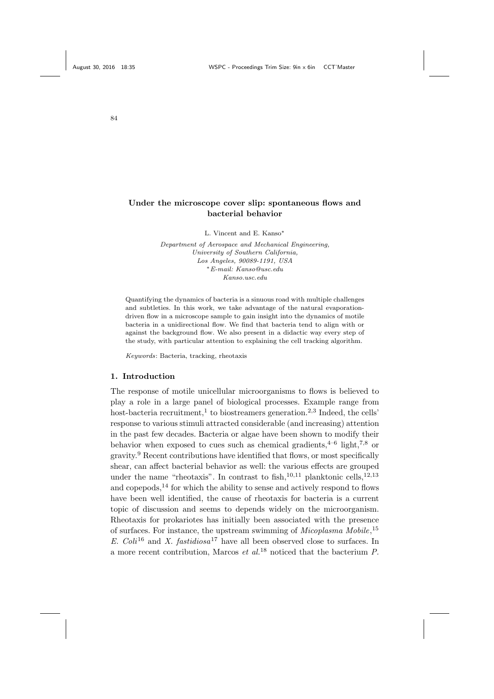# Under the microscope cover slip: spontaneous flows and bacterial behavior

L. Vincent and E. Kanso<sup>∗</sup>

*Department of Aerospace and Mechanical Engineering, University of Southern California, Los Angeles, 90089-1191, USA* <sup>∗</sup>*E-mail: Kanso@usc.edu Kanso.usc.edu*

Quantifying the dynamics of bacteria is a sinuous road with multiple challenges and subtleties. In this work, we take advantage of the natural evaporationdriven flow in a microscope sample to gain insight into the dynamics of motile bacteria in a unidirectional flow. We find that bacteria tend to align with or against the background flow. We also present in a didactic way every step of the study, with particular attention to explaining the cell tracking algorithm.

*Keywords*: Bacteria, tracking, rheotaxis

## 1. Introduction

The response of motile unicellular microorganisms to flows is believed to play a role in a large panel of biological processes. Example range from host-bacteria recruitment,<sup>1</sup> to biostreamers generation.<sup>2,3</sup> Indeed, the cells' response to various stimuli attracted considerable (and increasing) attention in the past few decades. Bacteria or algae have been shown to modify their behavior when exposed to cues such as chemical gradients,  $4-6$  light,  $7,8$  or gravity.<sup>9</sup> Recent contributions have identified that flows, or most specifically shear, can affect bacterial behavior as well: the various effects are grouped under the name "rheotaxis". In contrast to fish, $^{10,11}$  planktonic cells, $^{12,13}$ and copepods,  $14$  for which the ability to sense and actively respond to flows have been well identified, the cause of rheotaxis for bacteria is a current topic of discussion and seems to depends widely on the microorganism. Rheotaxis for prokariotes has initially been associated with the presence of surfaces. For instance, the upstream swimming of *Micoplasma Mobile*,<sup>15</sup> E. Coli<sup>16</sup> and X. fastidiosa<sup>17</sup> have all been observed close to surfaces. In a more recent contribution, Marcos *et al.*<sup>18</sup> noticed that the bacterium  $P$ .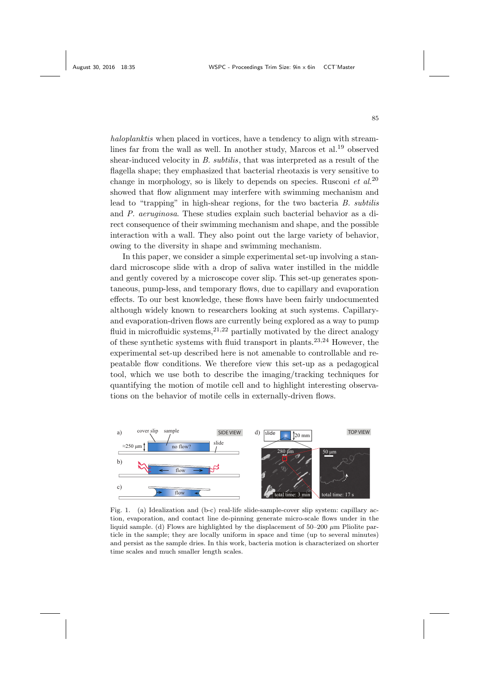haloplanktis when placed in vortices, have a tendency to align with streamlines far from the wall as well. In another study, Marcos et al.<sup>19</sup> observed shear-induced velocity in B. subtilis, that was interpreted as a result of the flagella shape; they emphasized that bacterial rheotaxis is very sensitive to change in morphology, so is likely to depends on species. Rusconi et  $al^{20}$ showed that flow alignment may interfere with swimming mechanism and lead to "trapping" in high-shear regions, for the two bacteria B. subtilis and P. aeruginosa. These studies explain such bacterial behavior as a direct consequence of their swimming mechanism and shape, and the possible interaction with a wall. They also point out the large variety of behavior, owing to the diversity in shape and swimming mechanism.

In this paper, we consider a simple experimental set-up involving a standard microscope slide with a drop of saliva water instilled in the middle and gently covered by a microscope cover slip. This set-up generates spontaneous, pump-less, and temporary flows, due to capillary and evaporation effects. To our best knowledge, these flows have been fairly undocumented although widely known to researchers looking at such systems. Capillaryand evaporation-driven flows are currently being explored as a way to pump fluid in microfluidic systems,  $2^{1,22}$  partially motivated by the direct analogy of these synthetic systems with fluid transport in plants.23,24 However, the experimental set-up described here is not amenable to controllable and repeatable flow conditions. We therefore view this set-up as a pedagogical tool, which we use both to describe the imaging/tracking techniques for quantifying the motion of motile cell and to highlight interesting observations on the behavior of motile cells in externally-driven flows.



Fig. 1. (a) Idealization and (b-c) real-life slide-sample-cover slip system: capillary action, evaporation, and contact line de-pinning generate micro-scale flows under in the liquid sample. (d) Flows are highlighted by the displacement of  $50-200 \mu m$  Pliolite particle in the sample; they are locally uniform in space and time (up to several minutes) and persist as the sample dries. In this work, bacteria motion is characterized on shorter time scales and much smaller length scales.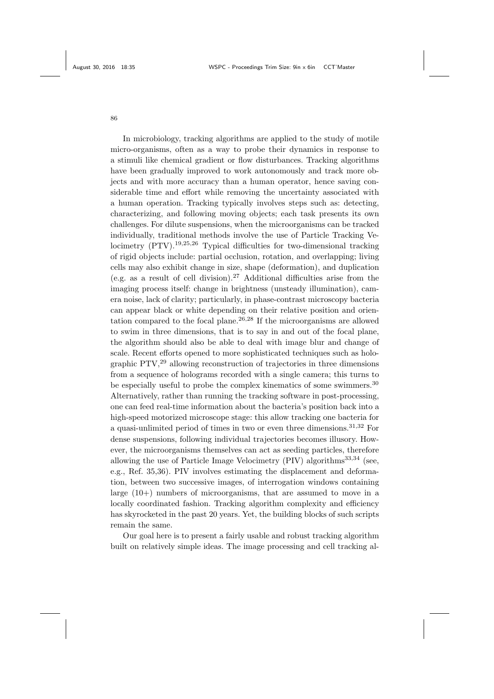In microbiology, tracking algorithms are applied to the study of motile micro-organisms, often as a way to probe their dynamics in response to a stimuli like chemical gradient or flow disturbances. Tracking algorithms have been gradually improved to work autonomously and track more objects and with more accuracy than a human operator, hence saving considerable time and effort while removing the uncertainty associated with a human operation. Tracking typically involves steps such as: detecting, characterizing, and following moving objects; each task presents its own challenges. For dilute suspensions, when the microorganisms can be tracked individually, traditional methods involve the use of Particle Tracking Velocimetry (PTV).<sup>19,25,26</sup> Typical difficulties for two-dimensional tracking of rigid objects include: partial occlusion, rotation, and overlapping; living cells may also exhibit change in size, shape (deformation), and duplication (e.g. as a result of cell division).<sup>27</sup> Additional difficulties arise from the imaging process itself: change in brightness (unsteady illumination), camera noise, lack of clarity; particularly, in phase-contrast microscopy bacteria can appear black or white depending on their relative position and orientation compared to the focal plane.<sup>26,28</sup> If the microorganisms are allowed to swim in three dimensions, that is to say in and out of the focal plane, the algorithm should also be able to deal with image blur and change of scale. Recent efforts opened to more sophisticated techniques such as holographic  $PTV<sub>1</sub><sup>29</sup>$  allowing reconstruction of trajectories in three dimensions from a sequence of holograms recorded with a single camera; this turns to be especially useful to probe the complex kinematics of some swimmers.<sup>30</sup> Alternatively, rather than running the tracking software in post-processing, one can feed real-time information about the bacteria's position back into a high-speed motorized microscope stage: this allow tracking one bacteria for a quasi-unlimited period of times in two or even three dimensions. 31,32 For dense suspensions, following individual trajectories becomes illusory. However, the microorganisms themselves can act as seeding particles, therefore allowing the use of Particle Image Velocimetry (PIV) algorithms<sup>33,34</sup> (see, e.g., Ref. 35,36). PIV involves estimating the displacement and deformation, between two successive images, of interrogation windows containing large (10+) numbers of microorganisms, that are assumed to move in a locally coordinated fashion. Tracking algorithm complexity and efficiency has skyrocketed in the past 20 years. Yet, the building blocks of such scripts remain the same.

Our goal here is to present a fairly usable and robust tracking algorithm built on relatively simple ideas. The image processing and cell tracking al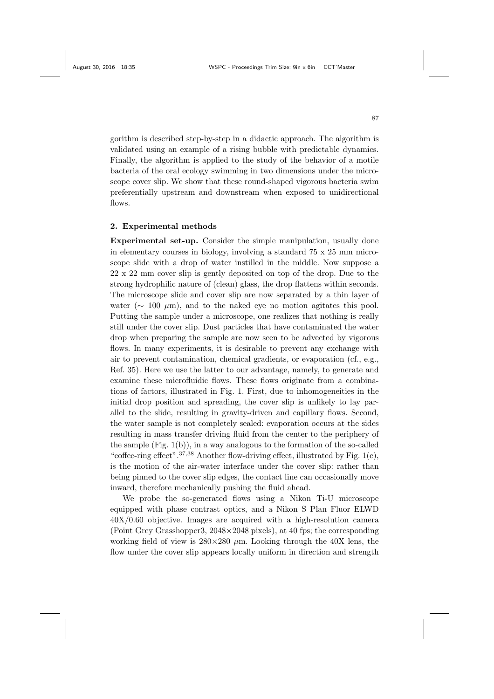gorithm is described step-by-step in a didactic approach. The algorithm is validated using an example of a rising bubble with predictable dynamics. Finally, the algorithm is applied to the study of the behavior of a motile bacteria of the oral ecology swimming in two dimensions under the microscope cover slip. We show that these round-shaped vigorous bacteria swim preferentially upstream and downstream when exposed to unidirectional flows.

## 2. Experimental methods

Experimental set-up. Consider the simple manipulation, usually done in elementary courses in biology, involving a standard 75 x 25 mm microscope slide with a drop of water instilled in the middle. Now suppose a 22 x 22 mm cover slip is gently deposited on top of the drop. Due to the strong hydrophilic nature of (clean) glass, the drop flattens within seconds. The microscope slide and cover slip are now separated by a thin layer of water ( $\sim 100 \mu m$ ), and to the naked eye no motion agitates this pool. Putting the sample under a microscope, one realizes that nothing is really still under the cover slip. Dust particles that have contaminated the water drop when preparing the sample are now seen to be advected by vigorous flows. In many experiments, it is desirable to prevent any exchange with air to prevent contamination, chemical gradients, or evaporation (cf., e.g., Ref. 35). Here we use the latter to our advantage, namely, to generate and examine these microfluidic flows. These flows originate from a combinations of factors, illustrated in Fig. 1. First, due to inhomogeneities in the initial drop position and spreading, the cover slip is unlikely to lay parallel to the slide, resulting in gravity-driven and capillary flows. Second, the water sample is not completely sealed: evaporation occurs at the sides resulting in mass transfer driving fluid from the center to the periphery of the sample  $(Fig. 1(b))$ , in a way analogous to the formation of the so-called "coffee-ring effect".  $37,38$  Another flow-driving effect, illustrated by Fig. 1(c), is the motion of the air-water interface under the cover slip: rather than being pinned to the cover slip edges, the contact line can occasionally move inward, therefore mechanically pushing the fluid ahead.

We probe the so-generated flows using a Nikon Ti-U microscope equipped with phase contrast optics, and a Nikon S Plan Fluor ELWD 40X/0.60 objective. Images are acquired with a high-resolution camera (Point Grey Grasshopper3, 2048×2048 pixels), at 40 fps; the corresponding working field of view is  $280\times280 \mu m$ . Looking through the 40X lens, the flow under the cover slip appears locally uniform in direction and strength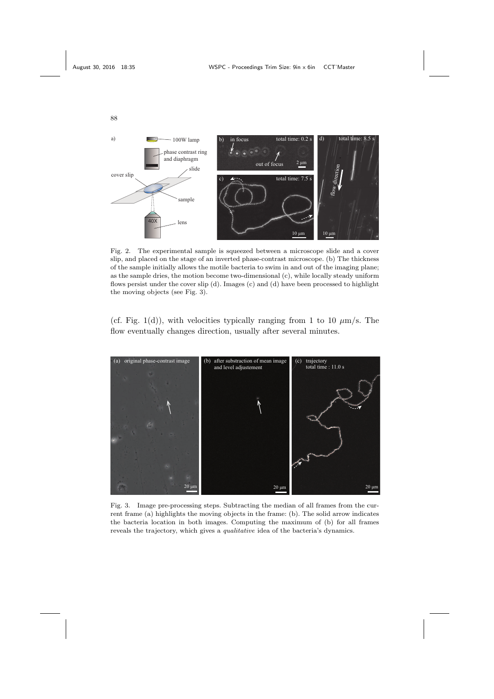

Fig. 2. The experimental sample is squeezed between a microscope slide and a cover slip, and placed on the stage of an inverted phase-contrast microscope. (b) The thickness of the sample initially allows the motile bacteria to swim in and out of the imaging plane; as the sample dries, the motion become two-dimensional (c), while locally steady uniform flows persist under the cover slip (d). Images (c) and (d) have been processed to highlight the moving objects (see Fig. 3).

(cf. Fig. 1(d)), with velocities typically ranging from 1 to 10  $\mu$ m/s. The flow eventually changes direction, usually after several minutes.



Fig. 3. Image pre-processing steps. Subtracting the median of all frames from the current frame (a) highlights the moving objects in the frame: (b). The solid arrow indicates the bacteria location in both images. Computing the maximum of (b) for all frames reveals the trajectory, which gives a *qualitative* idea of the bacteria's dynamics.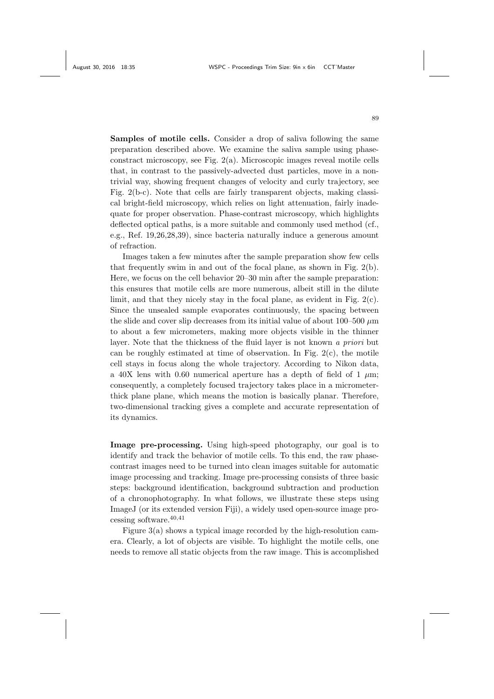Samples of motile cells. Consider a drop of saliva following the same preparation described above. We examine the saliva sample using phaseconstract microscopy, see Fig. 2(a). Microscopic images reveal motile cells that, in contrast to the passively-advected dust particles, move in a nontrivial way, showing frequent changes of velocity and curly trajectory, see Fig. 2(b-c). Note that cells are fairly transparent objects, making classical bright-field microscopy, which relies on light attenuation, fairly inadequate for proper observation. Phase-contrast microscopy, which highlights deflected optical paths, is a more suitable and commonly used method (cf., e.g., Ref. 19,26,28,39), since bacteria naturally induce a generous amount of refraction.

Images taken a few minutes after the sample preparation show few cells that frequently swim in and out of the focal plane, as shown in Fig. 2(b). Here, we focus on the cell behavior 20–30 min after the sample preparation: this ensures that motile cells are more numerous, albeit still in the dilute limit, and that they nicely stay in the focal plane, as evident in Fig. 2(c). Since the unsealed sample evaporates continuously, the spacing between the slide and cover slip decreases from its initial value of about  $100-500 \ \mu m$ to about a few micrometers, making more objects visible in the thinner layer. Note that the thickness of the fluid layer is not known a priori but can be roughly estimated at time of observation. In Fig.  $2(c)$ , the motile cell stays in focus along the whole trajectory. According to Nikon data, a 40X lens with 0.60 numerical aperture has a depth of field of 1  $\mu$ m; consequently, a completely focused trajectory takes place in a micrometerthick plane plane, which means the motion is basically planar. Therefore, two-dimensional tracking gives a complete and accurate representation of its dynamics.

Image pre-processing. Using high-speed photography, our goal is to identify and track the behavior of motile cells. To this end, the raw phasecontrast images need to be turned into clean images suitable for automatic image processing and tracking. Image pre-processing consists of three basic steps: background identification, background subtraction and production of a chronophotography. In what follows, we illustrate these steps using ImageJ (or its extended version Fiji), a widely used open-source image processing software.40,41

Figure 3(a) shows a typical image recorded by the high-resolution camera. Clearly, a lot of objects are visible. To highlight the motile cells, one needs to remove all static objects from the raw image. This is accomplished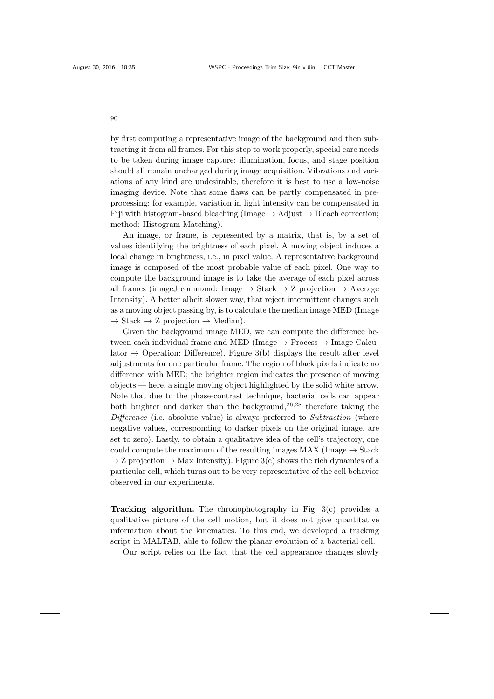by first computing a representative image of the background and then subtracting it from all frames. For this step to work properly, special care needs to be taken during image capture; illumination, focus, and stage position should all remain unchanged during image acquisition. Vibrations and variations of any kind are undesirable, therefore it is best to use a low-noise imaging device. Note that some flaws can be partly compensated in preprocessing: for example, variation in light intensity can be compensated in Fiji with histogram-based bleaching (Image  $\rightarrow$  Adjust  $\rightarrow$  Bleach correction; method: Histogram Matching).

An image, or frame, is represented by a matrix, that is, by a set of values identifying the brightness of each pixel. A moving object induces a local change in brightness, i.e., in pixel value. A representative background image is composed of the most probable value of each pixel. One way to compute the background image is to take the average of each pixel across all frames (imageJ command: Image  $\rightarrow$  Stack  $\rightarrow$  Z projection  $\rightarrow$  Average Intensity). A better albeit slower way, that reject intermittent changes such as a moving object passing by, is to calculate the median image MED (Image  $\rightarrow$  Stack  $\rightarrow$  Z projection  $\rightarrow$  Median).

Given the background image MED, we can compute the difference between each individual frame and MED (Image  $\rightarrow$  Process  $\rightarrow$  Image Calculator  $\rightarrow$  Operation: Difference). Figure 3(b) displays the result after level adjustments for one particular frame. The region of black pixels indicate no difference with MED; the brighter region indicates the presence of moving objects — here, a single moving object highlighted by the solid white arrow. Note that due to the phase-contrast technique, bacterial cells can appear both brighter and darker than the background,  $26,28$  therefore taking the Difference (i.e. absolute value) is always preferred to Subtraction (where negative values, corresponding to darker pixels on the original image, are set to zero). Lastly, to obtain a qualitative idea of the cell's trajectory, one could compute the maximum of the resulting images MAX (Image  $\rightarrow$  Stack  $\rightarrow$  Z projection  $\rightarrow$  Max Intensity). Figure 3(c) shows the rich dynamics of a particular cell, which turns out to be very representative of the cell behavior observed in our experiments.

Tracking algorithm. The chronophotography in Fig. 3(c) provides a qualitative picture of the cell motion, but it does not give quantitative information about the kinematics. To this end, we developed a tracking script in MALTAB, able to follow the planar evolution of a bacterial cell.

Our script relies on the fact that the cell appearance changes slowly

90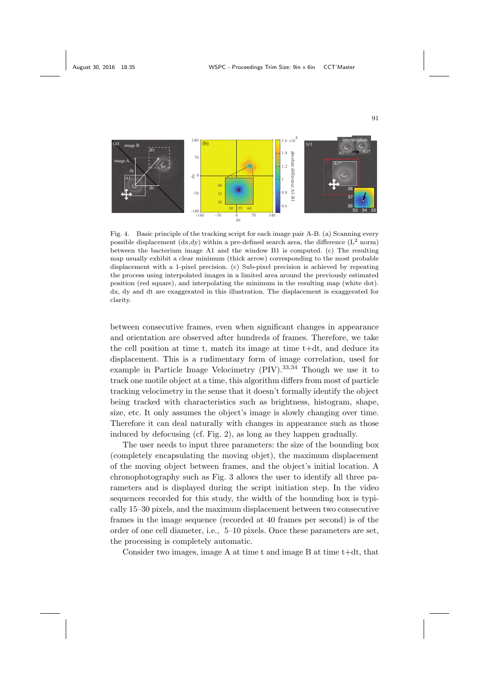

Fig. 4. Basic principle of the tracking script for each image pair A-B. (a) Scanning every possible displacement  $(dx, dy)$  within a pre-defined search area, the difference  $(L^2 \text{ norm})$ between the bacterium image A1 and the window B1 is computed. (c) The resulting map usually exhibit a clear minimum (thick arrow) corresponding to the most probable displacement with a 1-pixel precision. (c) Sub-pixel precision is achieved by repeating the process using interpolated images in a limited area around the previously estimated position (red square), and interpolating the minimum in the resulting map (white dot). dx, dy and dt are exaggerated in this illustration. The displacement is exaggerated for clarity.

between consecutive frames, even when significant changes in appearance and orientation are observed after hundreds of frames. Therefore, we take the cell position at time t, match its image at time t+dt, and deduce its displacement. This is a rudimentary form of image correlation, used for example in Particle Image Velocimetry  $(PIV)$ .<sup>33,34</sup> Though we use it to track one motile object at a time, this algorithm differs from most of particle tracking velocimetry in the sense that it doesn't formally identify the object being tracked with characteristics such as brightness, histogram, shape, size, etc. It only assumes the object's image is slowly changing over time. Therefore it can deal naturally with changes in appearance such as those induced by defocusing (cf. Fig. 2), as long as they happen gradually.

The user needs to input three parameters: the size of the bounding box (completely encapsulating the moving objet), the maximum displacement of the moving object between frames, and the object's initial location. A chronophotography such as Fig. 3 allows the user to identify all three parameters and is displayed during the script initiation step. In the video sequences recorded for this study, the width of the bounding box is typically 15–30 pixels, and the maximum displacement between two consecutive frames in the image sequence (recorded at 40 frames per second) is of the order of one cell diameter, i.e., 5–10 pixels. Once these parameters are set, the processing is completely automatic.

Consider two images, image A at time t and image B at time t+dt, that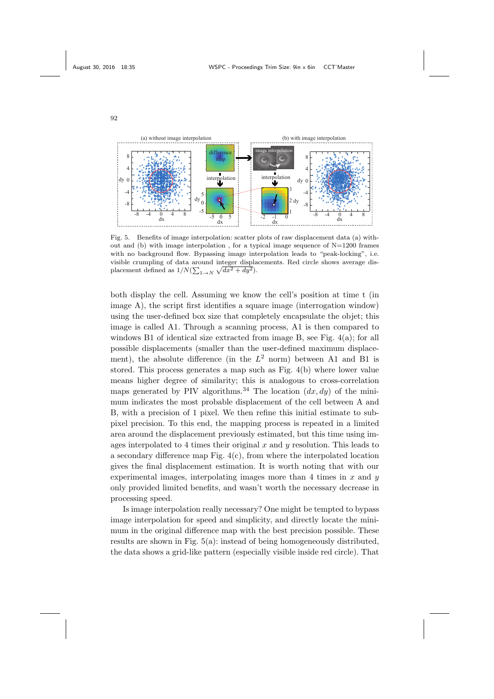

Fig. 5. Benefits of image interpolation: scatter plots of raw displacement data (a) without and (b) with image interpolation, for a typical image sequence of  $N=1200$  frames with no background flow. Bypassing image interpolation leads to "peak-locking", i.e. visible crumpling of data around integer displacements. Red circle shows average displacement defined as  $1/N(\sum_{1\rightarrow N}\sqrt{dx^2+dy^2})$ .

both display the cell. Assuming we know the cell's position at time t (in image  $A$ ), the script first identifies a square image (interrogation window) using the user-defined box size that completely encapsulate the objet; this image is called A1. Through a scanning process, A1 is then compared to windows B1 of identical size extracted from image B, see Fig.  $4(a)$ ; for all possible displacements (smaller than the user-defined maximum displacement), the absolute difference (in the  $L^2$  norm) between A1 and B1 is stored. This process generates a map such as Fig. 4(b) where lower value means higher degree of similarity; this is analogous to cross-correlation maps generated by PIV algorithms.<sup>34</sup> The location  $(dx, dy)$  of the minimum indicates the most probable displacement of the cell between A and B, with a precision of 1 pixel. We then refine this initial estimate to subpixel precision. To this end, the mapping process is repeated in a limited area around the displacement previously estimated, but this time using images interpolated to 4 times their original x and  $y$  resolution. This leads to a secondary difference map Fig. 4(c), from where the interpolated location gives the final displacement estimation. It is worth noting that with our experimental images, interpolating images more than 4 times in  $x$  and  $y$ only provided limited benefits, and wasn't worth the necessary decrease in processing speed.

Is image interpolation really necessary? One might be tempted to bypass image interpolation for speed and simplicity, and directly locate the minimum in the original difference map with the best precision possible. These results are shown in Fig. 5(a): instead of being homogeneously distributed, the data shows a grid-like pattern (especially visible inside red circle). That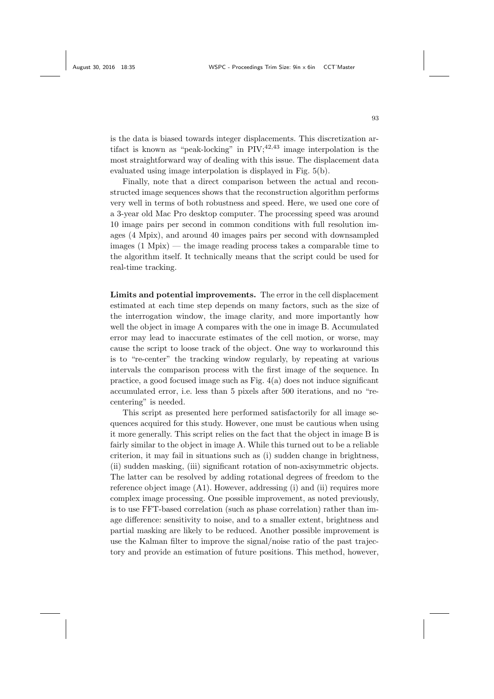is the data is biased towards integer displacements. This discretization artifact is known as "peak-locking" in  $PIV$ ;<sup>42,43</sup> image interpolation is the most straightforward way of dealing with this issue. The displacement data evaluated using image interpolation is displayed in Fig. 5(b).

Finally, note that a direct comparison between the actual and reconstructed image sequences shows that the reconstruction algorithm performs very well in terms of both robustness and speed. Here, we used one core of a 3-year old Mac Pro desktop computer. The processing speed was around 10 image pairs per second in common conditions with full resolution images (4 Mpix), and around 40 images pairs per second with downsampled images (1 Mpix) — the image reading process takes a comparable time to the algorithm itself. It technically means that the script could be used for real-time tracking.

Limits and potential improvements. The error in the cell displacement estimated at each time step depends on many factors, such as the size of the interrogation window, the image clarity, and more importantly how well the object in image A compares with the one in image B. Accumulated error may lead to inaccurate estimates of the cell motion, or worse, may cause the script to loose track of the object. One way to workaround this is to "re-center" the tracking window regularly, by repeating at various intervals the comparison process with the first image of the sequence. In practice, a good focused image such as Fig. 4(a) does not induce significant accumulated error, i.e. less than 5 pixels after 500 iterations, and no "recentering" is needed.

This script as presented here performed satisfactorily for all image sequences acquired for this study. However, one must be cautious when using it more generally. This script relies on the fact that the object in image B is fairly similar to the object in image A. While this turned out to be a reliable criterion, it may fail in situations such as (i) sudden change in brightness, (ii) sudden masking, (iii) significant rotation of non-axisymmetric objects. The latter can be resolved by adding rotational degrees of freedom to the reference object image (A1). However, addressing (i) and (ii) requires more complex image processing. One possible improvement, as noted previously, is to use FFT-based correlation (such as phase correlation) rather than image difference: sensitivity to noise, and to a smaller extent, brightness and partial masking are likely to be reduced. Another possible improvement is use the Kalman filter to improve the signal/noise ratio of the past trajectory and provide an estimation of future positions. This method, however,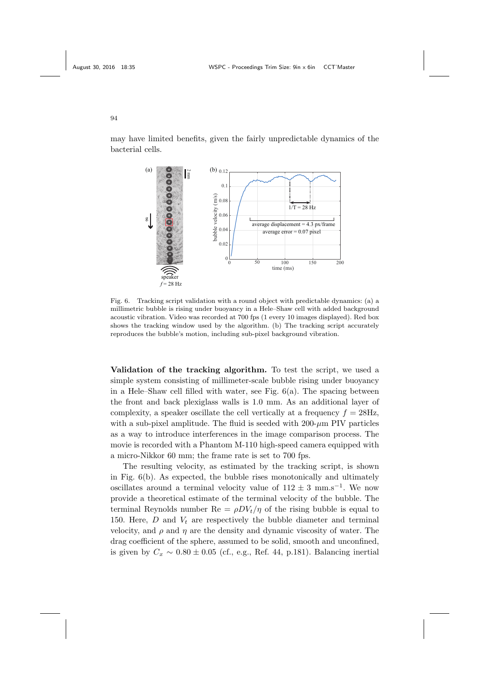may have limited benefits, given the fairly unpredictable dynamics of the bacterial cells.



Fig. 6. Tracking script validation with a round object with predictable dynamics: (a) a millimetric bubble is rising under buoyancy in a Hele–Shaw cell with added background acoustic vibration. Video was recorded at 700 fps (1 every 10 images displayed). Red box shows the tracking window used by the algorithm. (b) The tracking script accurately reproduces the bubble's motion, including sub-pixel background vibration.

Validation of the tracking algorithm. To test the script, we used a simple system consisting of millimeter-scale bubble rising under buoyancy in a Hele–Shaw cell filled with water, see Fig.  $6(a)$ . The spacing between the front and back plexiglass walls is 1.0 mm. As an additional layer of complexity, a speaker oscillate the cell vertically at a frequency  $f = 28$ Hz, with a sub-pixel amplitude. The fluid is seeded with  $200-\mu m$  PIV particles as a way to introduce interferences in the image comparison process. The movie is recorded with a Phantom M-110 high-speed camera equipped with a micro-Nikkor 60 mm; the frame rate is set to 700 fps.

The resulting velocity, as estimated by the tracking script, is shown in Fig. 6(b). As expected, the bubble rises monotonically and ultimately oscillates around a terminal velocity value of  $112 \pm 3$  mm.s<sup>-1</sup>. We now provide a theoretical estimate of the terminal velocity of the bubble. The terminal Reynolds number Re =  $\rho DV_t/\eta$  of the rising bubble is equal to 150. Here,  $D$  and  $V_t$  are respectively the bubble diameter and terminal velocity, and  $\rho$  and  $\eta$  are the density and dynamic viscosity of water. The drag coefficient of the sphere, assumed to be solid, smooth and unconfined, is given by  $C_x \sim 0.80 \pm 0.05$  (cf., e.g., Ref. 44, p.181). Balancing inertial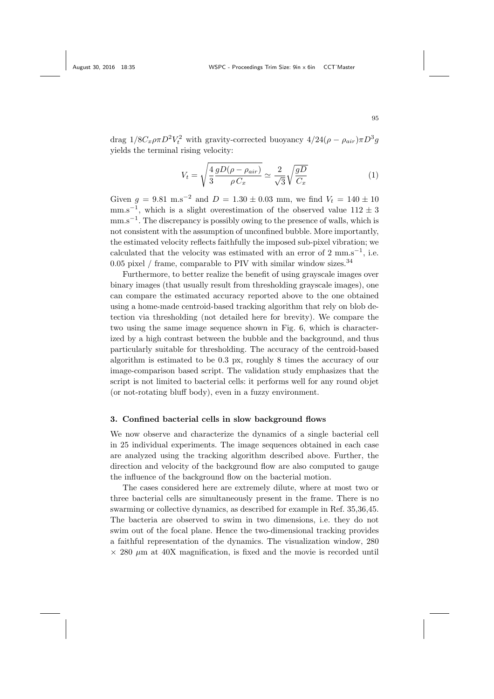drag  $1/8C_x \rho \pi D^2 V_t^2$  with gravity-corrected buoyancy  $4/24(\rho - \rho_{air})\pi D^3 g$ yields the terminal rising velocity:

$$
V_t = \sqrt{\frac{4}{3} \frac{gD(\rho - \rho_{air})}{\rho C_x}} \simeq \frac{2}{\sqrt{3}} \sqrt{\frac{gD}{C_x}}
$$
(1)

Given  $g = 9.81$  m.s<sup>-2</sup> and  $D = 1.30 \pm 0.03$  mm, we find  $V_t = 140 \pm 10$ mm.s<sup>-1</sup>, which is a slight overestimation of the observed value  $112 \pm 3$ mm.s<sup>-1</sup>. The discrepancy is possibly owing to the presence of walls, which is not consistent with the assumption of unconfined bubble. More importantly, the estimated velocity reflects faithfully the imposed sub-pixel vibration; we calculated that the velocity was estimated with an error of  $2 \text{ mm.s}^{-1}$ , i.e. 0.05 pixel / frame, comparable to PIV with similar window sizes. $34$ 

Furthermore, to better realize the benefit of using grayscale images over binary images (that usually result from thresholding grayscale images), one can compare the estimated accuracy reported above to the one obtained using a home-made centroid-based tracking algorithm that rely on blob detection via thresholding (not detailed here for brevity). We compare the two using the same image sequence shown in Fig. 6, which is characterized by a high contrast between the bubble and the background, and thus particularly suitable for thresholding. The accuracy of the centroid-based algorithm is estimated to be 0.3 px, roughly 8 times the accuracy of our image-comparison based script. The validation study emphasizes that the script is not limited to bacterial cells: it performs well for any round objet (or not-rotating bluff body), even in a fuzzy environment.

#### 3. Confined bacterial cells in slow background flows

We now observe and characterize the dynamics of a single bacterial cell in 25 individual experiments. The image sequences obtained in each case are analyzed using the tracking algorithm described above. Further, the direction and velocity of the background flow are also computed to gauge the influence of the background flow on the bacterial motion.

The cases considered here are extremely dilute, where at most two or three bacterial cells are simultaneously present in the frame. There is no swarming or collective dynamics, as described for example in Ref. 35,36,45. The bacteria are observed to swim in two dimensions, i.e. they do not swim out of the focal plane. Hence the two-dimensional tracking provides a faithful representation of the dynamics. The visualization window, 280  $\times$  280  $\mu$ m at 40X magnification, is fixed and the movie is recorded until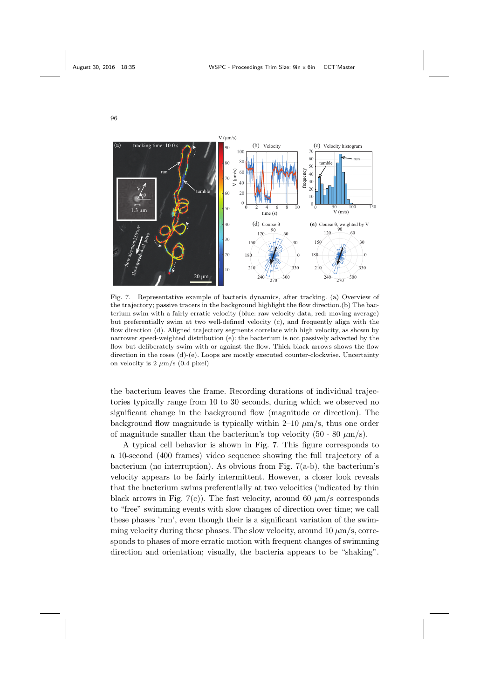

Fig. 7. Representative example of bacteria dynamics, after tracking. (a) Overview of the trajectory; passive tracers in the background highlight the flow direction.(b) The bacterium swim with a fairly erratic velocity (blue: raw velocity data, red: moving average) but preferentially swim at two well-defined velocity (c), and frequently align with the flow direction (d). Aligned trajectory segments correlate with high velocity, as shown by narrower speed-weighted distribution (e): the bacterium is not passively advected by the flow but deliberately swim with or against the flow. Thick black arrows shows the flow direction in the roses  $(d)$ - $(e)$ . Loops are mostly executed counter-clockwise. Uncertainty on velocity is  $2 \mu m/s$  (0.4 pixel)

the bacterium leaves the frame. Recording durations of individual trajectories typically range from 10 to 30 seconds, during which we observed no significant change in the background flow (magnitude or direction). The background flow magnitude is typically within  $2{\text -}10 \mu{\text{m}}/s$ , thus one order of magnitude smaller than the bacterium's top velocity (50 - 80  $\mu$ m/s).

A typical cell behavior is shown in Fig. 7. This figure corresponds to a 10-second (400 frames) video sequence showing the full trajectory of a bacterium (no interruption). As obvious from Fig. 7(a-b), the bacterium's velocity appears to be fairly intermittent. However, a closer look reveals that the bacterium swims preferentially at two velocities (indicated by thin black arrows in Fig.  $7(c)$ ). The fast velocity, around 60  $\mu$ m/s corresponds to "free" swimming events with slow changes of direction over time; we call these phases 'run', even though their is a significant variation of the swimming velocity during these phases. The slow velocity, around  $10 \ \mu m/s$ , corresponds to phases of more erratic motion with frequent changes of swimming direction and orientation; visually, the bacteria appears to be "shaking".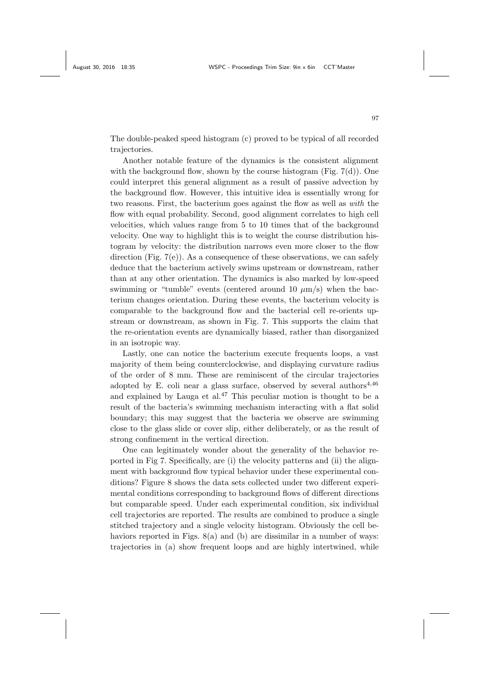The double-peaked speed histogram (c) proved to be typical of all recorded trajectories.

Another notable feature of the dynamics is the consistent alignment with the background flow, shown by the course histogram (Fig.  $7(d)$ ). One could interpret this general alignment as a result of passive advection by the background flow. However, this intuitive idea is essentially wrong for two reasons. First, the bacterium goes against the flow as well as with the flow with equal probability. Second, good alignment correlates to high cell velocities, which values range from 5 to 10 times that of the background velocity. One way to highlight this is to weight the course distribution histogram by velocity: the distribution narrows even more closer to the flow direction (Fig. 7(e)). As a consequence of these observations, we can safely deduce that the bacterium actively swims upstream or downstream, rather than at any other orientation. The dynamics is also marked by low-speed swimming or "tumble" events (centered around 10  $\mu$ m/s) when the bacterium changes orientation. During these events, the bacterium velocity is comparable to the background flow and the bacterial cell re-orients upstream or downstream, as shown in Fig. 7. This supports the claim that the re-orientation events are dynamically biased, rather than disorganized in an isotropic way.

Lastly, one can notice the bacterium execute frequents loops, a vast majority of them being counterclockwise, and displaying curvature radius of the order of 8 mm. These are reminiscent of the circular trajectories adopted by E. coli near a glass surface, observed by several authors<sup>4,46</sup> and explained by Lauga et al.<sup>47</sup> This peculiar motion is thought to be a result of the bacteria's swimming mechanism interacting with a flat solid boundary; this may suggest that the bacteria we observe are swimming close to the glass slide or cover slip, either deliberately, or as the result of strong confinement in the vertical direction.

One can legitimately wonder about the generality of the behavior reported in Fig 7. Specifically, are (i) the velocity patterns and (ii) the alignment with background flow typical behavior under these experimental conditions? Figure 8 shows the data sets collected under two different experimental conditions corresponding to background flows of different directions but comparable speed. Under each experimental condition, six individual cell trajectories are reported. The results are combined to produce a single stitched trajectory and a single velocity histogram. Obviously the cell behaviors reported in Figs. 8(a) and (b) are dissimilar in a number of ways: trajectories in (a) show frequent loops and are highly intertwined, while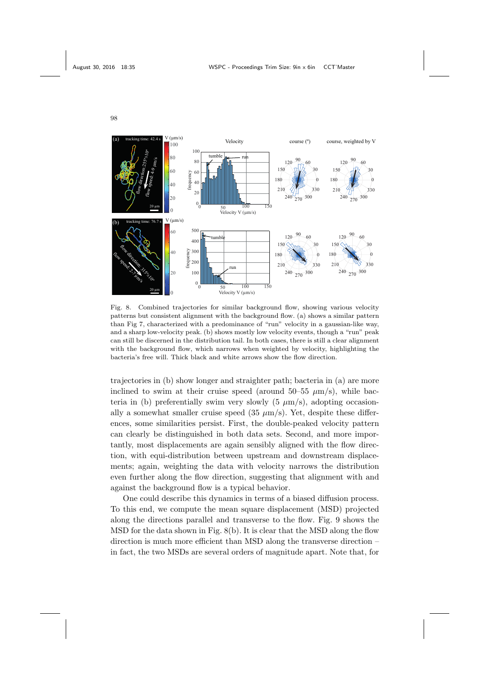



Fig. 8. Combined trajectories for similar background flow, showing various velocity patterns but consistent alignment with the background flow. (a) shows a similar pattern than Fig 7, characterized with a predominance of "run" velocity in a gaussian-like way, and a sharp low-velocity peak. (b) shows mostly low velocity events, though a "run" peak can still be discerned in the distribution tail. In both cases, there is still a clear alignment with the background flow, which narrows when weighted by velocity, highlighting the bacteria's free will. Thick black and white arrows show the flow direction.

trajectories in (b) show longer and straighter path; bacteria in (a) are more inclined to swim at their cruise speed (around 50–55  $\mu$ m/s), while bacteria in (b) preferentially swim very slowly  $(5 \mu m/s)$ , adopting occasionally a somewhat smaller cruise speed  $(35 \mu m/s)$ . Yet, despite these differences, some similarities persist. First, the double-peaked velocity pattern can clearly be distinguished in both data sets. Second, and more importantly, most displacements are again sensibly aligned with the flow direction, with equi-distribution between upstream and downstream displacements; again, weighting the data with velocity narrows the distribution even further along the flow direction, suggesting that alignment with and against the background flow is a typical behavior.

One could describe this dynamics in terms of a biased diffusion process. To this end, we compute the mean square displacement (MSD) projected along the directions parallel and transverse to the flow. Fig. 9 shows the MSD for the data shown in Fig. 8(b). It is clear that the MSD along the flow direction is much more efficient than MSD along the transverse direction – in fact, the two MSDs are several orders of magnitude apart. Note that, for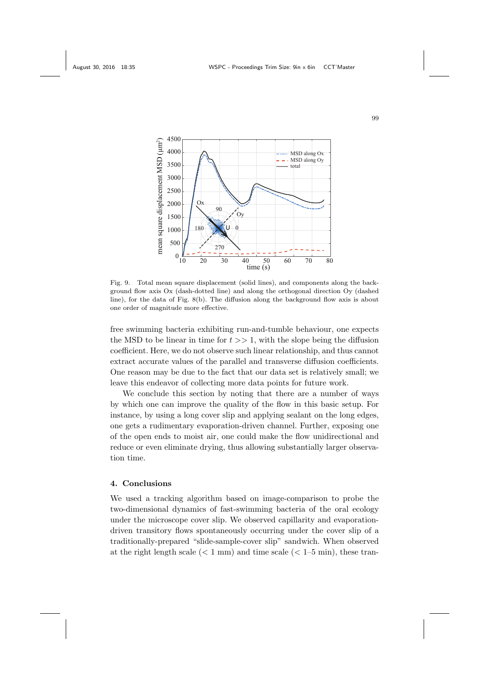



Fig. 9. Total mean square displacement (solid lines), and components along the background flow axis Ox (dash-dotted line) and along the orthogonal direction Oy (dashed line), for the data of Fig. 8(b). The diffusion along the background flow axis is about one order of magnitude more effective.

free swimming bacteria exhibiting run-and-tumble behaviour, one expects the MSD to be linear in time for  $t \geq 1$ , with the slope being the diffusion coefficient. Here, we do not observe such linear relationship, and thus cannot extract accurate values of the parallel and transverse diffusion coefficients. One reason may be due to the fact that our data set is relatively small; we leave this endeavor of collecting more data points for future work.

We conclude this section by noting that there are a number of ways by which one can improve the quality of the flow in this basic setup. For instance, by using a long cover slip and applying sealant on the long edges, one gets a rudimentary evaporation-driven channel. Further, exposing one of the open ends to moist air, one could make the flow unidirectional and reduce or even eliminate drying, thus allowing substantially larger observation time.

## 4. Conclusions

We used a tracking algorithm based on image-comparison to probe the two-dimensional dynamics of fast-swimming bacteria of the oral ecology under the microscope cover slip. We observed capillarity and evaporationdriven transitory flows spontaneously occurring under the cover slip of a traditionally-prepared "slide-sample-cover slip" sandwich. When observed at the right length scale  $(< 1 \text{ mm})$  and time scale  $(< 1-5 \text{ min})$ , these tran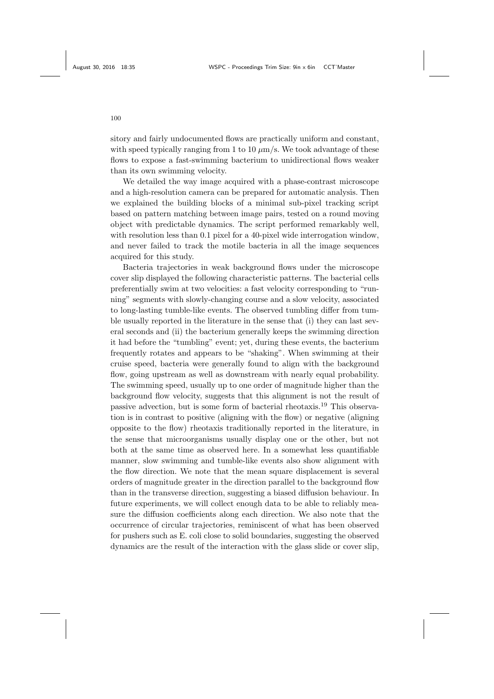sitory and fairly undocumented flows are practically uniform and constant, with speed typically ranging from 1 to 10  $\mu$ m/s. We took advantage of these flows to expose a fast-swimming bacterium to unidirectional flows weaker than its own swimming velocity.

We detailed the way image acquired with a phase-contrast microscope and a high-resolution camera can be prepared for automatic analysis. Then we explained the building blocks of a minimal sub-pixel tracking script based on pattern matching between image pairs, tested on a round moving object with predictable dynamics. The script performed remarkably well, with resolution less than 0.1 pixel for a 40-pixel wide interrogation window, and never failed to track the motile bacteria in all the image sequences acquired for this study.

Bacteria trajectories in weak background flows under the microscope cover slip displayed the following characteristic patterns. The bacterial cells preferentially swim at two velocities: a fast velocity corresponding to "running" segments with slowly-changing course and a slow velocity, associated to long-lasting tumble-like events. The observed tumbling differ from tumble usually reported in the literature in the sense that (i) they can last several seconds and (ii) the bacterium generally keeps the swimming direction it had before the "tumbling" event; yet, during these events, the bacterium frequently rotates and appears to be "shaking". When swimming at their cruise speed, bacteria were generally found to align with the background flow, going upstream as well as downstream with nearly equal probability. The swimming speed, usually up to one order of magnitude higher than the background flow velocity, suggests that this alignment is not the result of passive advection, but is some form of bacterial rheotaxis.<sup>19</sup> This observation is in contrast to positive (aligning with the flow) or negative (aligning opposite to the flow) rheotaxis traditionally reported in the literature, in the sense that microorganisms usually display one or the other, but not both at the same time as observed here. In a somewhat less quantifiable manner, slow swimming and tumble-like events also show alignment with the flow direction. We note that the mean square displacement is several orders of magnitude greater in the direction parallel to the background flow than in the transverse direction, suggesting a biased diffusion behaviour. In future experiments, we will collect enough data to be able to reliably measure the diffusion coefficients along each direction. We also note that the occurrence of circular trajectories, reminiscent of what has been observed for pushers such as E. coli close to solid boundaries, suggesting the observed dynamics are the result of the interaction with the glass slide or cover slip,

100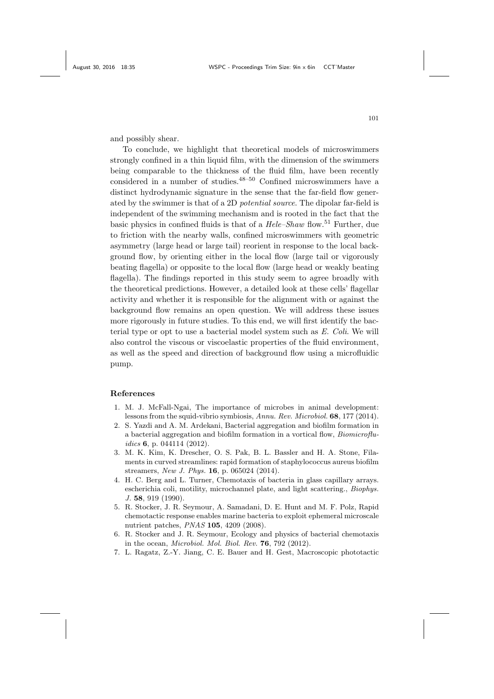and possibly shear.

To conclude, we highlight that theoretical models of microswimmers strongly confined in a thin liquid film, with the dimension of the swimmers being comparable to the thickness of the fluid film, have been recently considered in a number of studies.  $48-50$  Confined microswimmers have a distinct hydrodynamic signature in the sense that the far-field flow generated by the swimmer is that of a 2D potential source. The dipolar far-field is independent of the swimming mechanism and is rooted in the fact that the basic physics in confined fluids is that of a  $Hele-Shaw$  flow.<sup>51</sup> Further, due to friction with the nearby walls, confined microswimmers with geometric asymmetry (large head or large tail) reorient in response to the local background flow, by orienting either in the local flow (large tail or vigorously beating flagella) or opposite to the local flow (large head or weakly beating flagella). The findings reported in this study seem to agree broadly with the theoretical predictions. However, a detailed look at these cells' flagellar activity and whether it is responsible for the alignment with or against the background flow remains an open question. We will address these issues more rigorously in future studies. To this end, we will first identify the bacterial type or opt to use a bacterial model system such as E. Coli. We will also control the viscous or viscoelastic properties of the fluid environment, as well as the speed and direction of background flow using a microfluidic pump.

# References

- 1. M. J. McFall-Ngai, The importance of microbes in animal development: lessons from the squid-vibrio symbiosis, *Annu. Rev. Microbiol.* 68, 177 (2014).
- 2. S. Yazdi and A. M. Ardekani, Bacterial aggregation and biofilm formation in a bacterial aggregation and biofilm formation in a vortical flow, *Biomicrofluidics* 6, p. 044114 (2012).
- 3. M. K. Kim, K. Drescher, O. S. Pak, B. L. Bassler and H. A. Stone, Filaments in curved streamlines: rapid formation of staphylococcus aureus biofilm streamers, *New J. Phys.* 16, p. 065024 (2014).
- 4. H. C. Berg and L. Turner, Chemotaxis of bacteria in glass capillary arrays. escherichia coli, motility, microchannel plate, and light scattering., *Biophys. J.* 58, 919 (1990).
- 5. R. Stocker, J. R. Seymour, A. Samadani, D. E. Hunt and M. F. Polz, Rapid chemotactic response enables marine bacteria to exploit ephemeral microscale nutrient patches, *PNAS* 105, 4209 (2008).
- 6. R. Stocker and J. R. Seymour, Ecology and physics of bacterial chemotaxis in the ocean, *Microbiol. Mol. Biol. Rev.* 76, 792 (2012).
- 7. L. Ragatz, Z.-Y. Jiang, C. E. Bauer and H. Gest, Macroscopic phototactic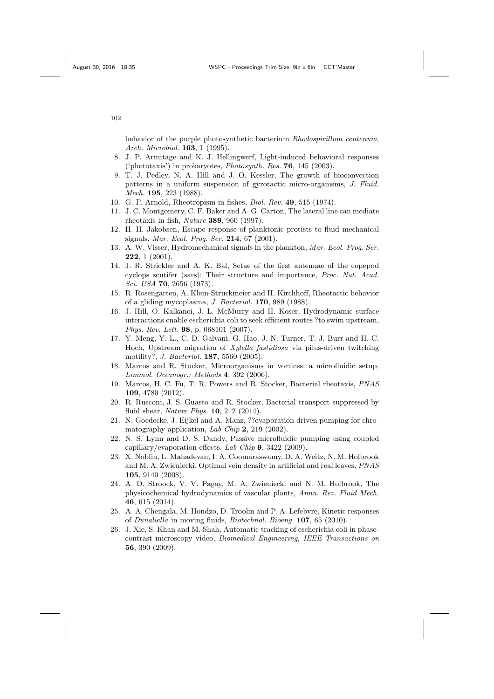behavior of the purple photosynthetic bacterium *Rhodospirillum centenum*, *Arch. Microbiol.* 163, 1 (1995).

- 8. J. P. Armitage and K. J. Hellingwerf, Light-induced behavioral responses ('phototaxis') in prokaryotes, *Photosynth. Res.* 76, 145 (2003).
- 9. T. J. Pedley, N. A. Hill and J. O. Kessler, The growth of bioconvection patterns in a uniform suspension of gyrotactic micro-organisms, *J. Fluid. Mech.* 195, 223 (1988).
- 10. G. P. Arnold, Rheotropism in fishes, *Biol. Rev.* 49, 515 (1974).
- 11. J. C. Montgomery, C. F. Baker and A. G. Carton, The lateral line can mediate rheotaxis in fish, *Nature* 389, 960 (1997).
- 12. H. H. Jakobsen, Escape response of planktonic protists to fluid mechanical signals, *Mar. Ecol. Prog. Ser.* 214, 67 (2001).
- 13. A. W. Visser, Hydromechanical signals in the plankton, *Mar. Ecol. Prog. Ser.* 222, 1 (2001).
- 14. J. R. Strickler and A. K. Bal, Setae of the first antennae of the copepod cyclops scutifer (sars): Their structure and importance, *Proc. Nat. Acad. Sci. USA* 70, 2656 (1973).
- 15. R. Rosengarten, A. Klein-Struckmeier and H. Kirchhoff, Rheotactic behavior of a gliding mycoplasma, *J. Bacteriol.* 170, 989 (1988).
- 16. J. Hill, O. Kalkanci, J. L. McMurry and H. Koser, Hydrodynamic surface interactions enable escherichia coli to seek efficient routes ?to swim upstream, *Phys. Rev. Lett.* 98, p. 068101 (2007).
- 17. Y. Meng, Y. L., C. D. Galvani, G. Hao, J. N. Turner, T. J. Burr and H. C. Hoch, Upstream migration of *Xylella fastidiosa* via pilus-driven twitching motility?, *J. Bacteriol.* 187, 5560 (2005).
- 18. Marcos and R. Stocker, Microorganisms in vortices: a microfluidic setup, *Limmol. Oceanogr.: Methods* 4, 392 (2006).
- 19. Marcos, H. C. Fu, T. R. Powers and R. Stocker, Bacterial rheotaxis, *PNAS* 109, 4780 (2012).
- 20. R. Rusconi, J. S. Guasto and R. Stocker, Bacterial transport suppressed by fluid shear, *Nature Phys.* 10, 212 (2014).
- 21. N. Goedecke, J. Eijkel and A. Manz, ??evaporation driven pumping for chromatography application, *Lab Chip* 2, 219 (2002).
- 22. N. S. Lynn and D. S. Dandy, Passive microfluidic pumping using coupled capillary/evaporation effects, *Lab Chip* 9, 3422 (2009).
- 23. X. Noblin, L. Mahadevan, I. A. Coomaraswamy, D. A. Weitz, N. M. Holbrook and M. A. Zwieniecki, Optimal vein density in artificial and real leaves, *PNAS* 105, 9140 (2008).
- 24. A. D. Stroock, V. V. Pagay, M. A. Zwieniecki and N. M. Holbrook, The physicochemical hydrodynamics of vascular plants, *Annu. Rev. Fluid Mech.* 46, 615 (2014).
- 25. A. A. Chengala, M. Hondzo, D. Troolin and P. A. Lefebvre, Kinetic responses of *Dunaliella* in moving fluids, *Biotechnol. Bioeng.* 107, 65 (2010).
- 26. J. Xie, S. Khan and M. Shah, Automatic tracking of escherichia coli in phasecontrast microscopy video, *Biomedical Engineering, IEEE Transactions on* 56, 390 (2009).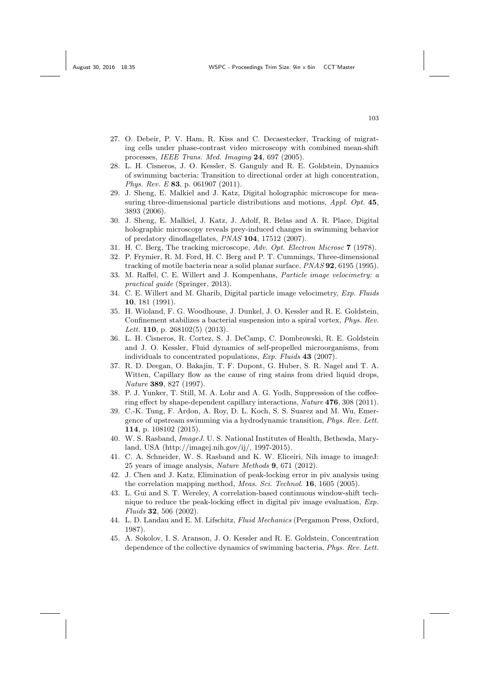- 27. O. Debeir, P. V. Ham, R. Kiss and C. Decaestecker, Tracking of migrating cells under phase-contrast video microscopy with combined mean-shift processes, *IEEE Trans. Med. Imaging* 24, 697 (2005).
- 28. L. H. Cisneros, J. O. Kessler, S. Ganguly and R. E. Goldstein, Dynamics of swimming bacteria: Transition to directional order at high concentration, *Phys. Rev. E* 83, p. 061907 (2011).
- 29. J. Sheng, E. Malkiel and J. Katz, Digital holographic microscope for measuring three-dimensional particle distributions and motions, *Appl. Opt.* 45, 3893 (2006).
- 30. J. Sheng, E. Malkiel, J. Katz, J. Adolf, R. Belas and A. R. Place, Digital holographic microscopy reveals prey-induced changes in swimming behavior of predatory dinoflagellates, *PNAS* 104, 17512 (2007).
- 31. H. C. Berg, The tracking microscope, *Adv. Opt. Electron Microsc* 7 (1978).
- 32. P. Frymier, R. M. Ford, H. C. Berg and P. T. Cummings, Three-dimensional tracking of motile bacteria near a solid planar surface, *PNAS* 92, 6195 (1995).
- 33. M. Raffel, C. E. Willert and J. Kompenhans, *Particle image velocimetry: a practical guide* (Springer, 2013).
- 34. C. E. Willert and M. Gharib, Digital particle image velocimetry, *Exp. Fluids* 10, 181 (1991).
- 35. H. Wioland, F. G. Woodhouse, J. Dunkel, J. O. Kessler and R. E. Goldstein, Confinement stabilizes a bacterial suspension into a spiral vortex, *Phys. Rev. Lett.* 110, p. 268102(5) (2013).
- 36. L. H. Cisneros, R. Cortez, S. J. DeCamp, C. Dombrowski, R. E. Goldstein and J. O. Kessler, Fluid dynamics of self-propelled microorganisms, from individuals to concentrated populations, *Exp. Fluids* 43 (2007).
- 37. R. D. Deegan, O. Bakajin, T. F. Dupont, G. Huber, S. R. Nagel and T. A. Witten, Capillary flow as the cause of ring stains from dried liquid drops, *Nature* 389, 827 (1997).
- 38. P. J. Yunker, T. Still, M. A. Lohr and A. G. Yodh, Suppression of the coffeering effect by shape-dependent capillary interactions, *Nature* 476, 308 (2011).
- 39. C.-K. Tung, F. Ardon, A. Roy, D. L. Koch, S. S. Suarez and M. Wu, Emergence of upstream swimming via a hydrodynamic transition, *Phys. Rev. Lett.* 114, p. 108102 (2015).
- 40. W. S. Rasband, *ImageJ*. U. S. National Institutes of Health, Bethesda, Maryland, USA (http://imagej.nih.gov/ij/, 1997-2015).
- 41. C. A. Schneider, W. S. Rasband and K. W. Eliceiri, Nih image to imageJ: 25 years of image analysis, *Nature Methods* 9, 671 (2012).
- 42. J. Chen and J. Katz, Elimination of peak-locking error in piv analysis using the correlation mapping method, *Meas. Sci. Technol.* 16, 1605 (2005).
- 43. L. Gui and S. T. Wereley, A correlation-based continuous window-shift technique to reduce the peak-locking effect in digital piv image evaluation, *Exp. Fluids* 32, 506 (2002).
- 44. L. D. Landau and E. M. Lifschitz, *Fluid Mechanics* (Pergamon Press, Oxford, 1987).
- 45. A. Sokolov, I. S. Aranson, J. O. Kessler and R. E. Goldstein, Concentration dependence of the collective dynamics of swimming bacteria, *Phys. Rev. Lett.*